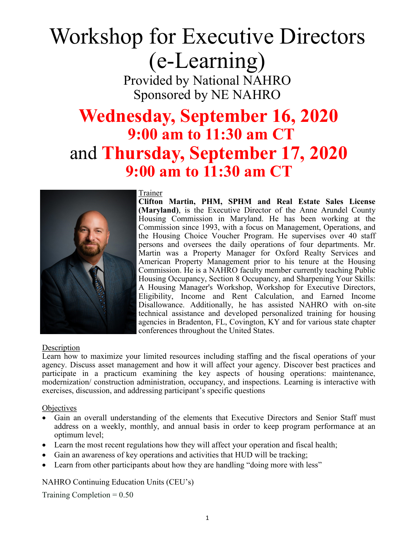# Workshop for Executive Directors (e-Learning) Provided by National NAHRO

Sponsored by NE NAHRO

### **Wednesday, September 16, 2020 9:00 am to 11:30 am CT**  and **Thursday, September 17, 2020 9:00 am to 11:30 am CT**



Trainer

**Clifton Martin, PHM, SPHM and Real Estate Sales License (Maryland)**, is the Executive Director of the Anne Arundel County Housing Commission in Maryland. He has been working at the Commission since 1993, with a focus on Management, Operations, and the Housing Choice Voucher Program. He supervises over 40 staff persons and oversees the daily operations of four departments. Mr. Martin was a Property Manager for Oxford Realty Services and American Property Management prior to his tenure at the Housing Commission. He is a NAHRO faculty member currently teaching Public Housing Occupancy, Section 8 Occupancy, and Sharpening Your Skills: A Housing Manager's Workshop, Workshop for Executive Directors, Eligibility, Income and Rent Calculation, and Earned Income Disallowance. Additionally, he has assisted NAHRO with on-site technical assistance and developed personalized training for housing agencies in Bradenton, FL, Covington, KY and for various state chapter conferences throughout the United States.

#### Description

Learn how to maximize your limited resources including staffing and the fiscal operations of your agency. Discuss asset management and how it will affect your agency. Discover best practices and participate in a practicum examining the key aspects of housing operations: maintenance, modernization/ construction administration, occupancy, and inspections. Learning is interactive with exercises, discussion, and addressing participant's specific questions

#### **Objectives**

- Gain an overall understanding of the elements that Executive Directors and Senior Staff must address on a weekly, monthly, and annual basis in order to keep program performance at an optimum level;
- Learn the most recent regulations how they will affect your operation and fiscal health;
- Gain an awareness of key operations and activities that HUD will be tracking;
- Learn from other participants about how they are handling "doing more with less"

NAHRO Continuing Education Units (CEU's)

Training Completion  $= 0.50$